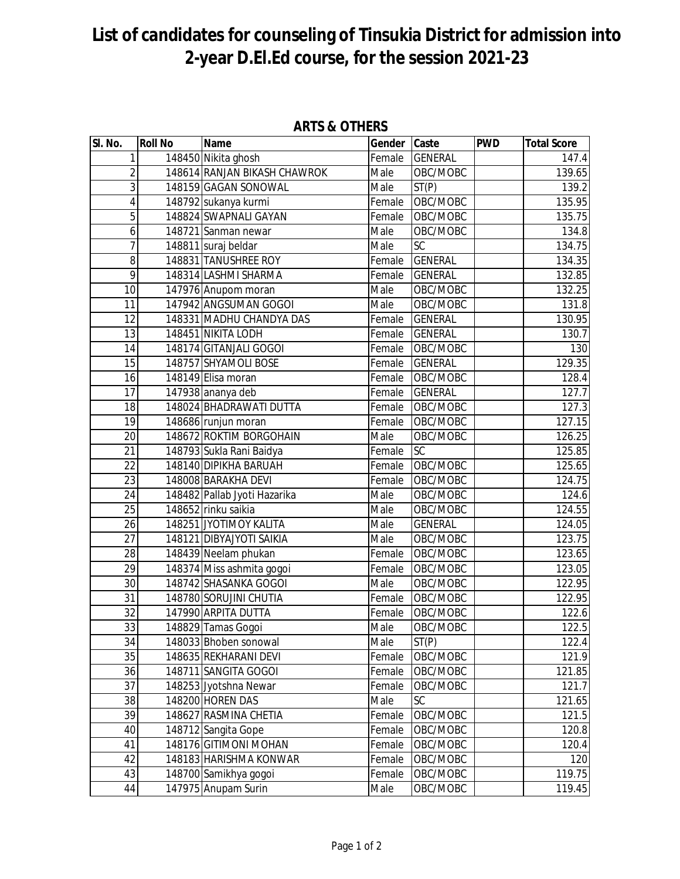## **List of candidates for counseling of Tinsukia District for admission into 2-year D.El.Ed course, for the session 2021-23**

| SI. No.         | <b>Roll No</b> | <b>Name</b>                  | Gender | Caste          | <b>PWD</b> | <b>Total Score</b> |
|-----------------|----------------|------------------------------|--------|----------------|------------|--------------------|
| 1               |                | 148450 Nikita ghosh          | Female | <b>GENERAL</b> |            | 147.4              |
| $\overline{2}$  |                | 148614 RANJAN BIKASH CHAWROK | Male   | OBC/MOBC       |            | 139.65             |
| $\overline{3}$  |                | 148159 GAGAN SONOWAL         | Male   | ST(P)          |            | 139.2              |
| 4               |                | 148792 sukanya kurmi         | Female | OBC/MOBC       |            | 135.95             |
| $\overline{5}$  |                | 148824 SWAPNALI GAYAN        | Female | OBC/MOBC       |            | 135.75             |
| 6               |                | 148721 Sanman newar          | Male   | OBC/MOBC       |            | 134.8              |
| 7               |                | 148811 suraj beldar          | Male   | <b>SC</b>      |            | 134.75             |
| 8               |                | 148831 TANUSHREE ROY         | Female | <b>GENERAL</b> |            | 134.35             |
| 9               |                | 148314 LASHMI SHARMA         | Female | <b>GENERAL</b> |            | 132.85             |
| 10              |                | 147976 Anupom moran          | Male   | OBC/MOBC       |            | 132.25             |
| 11              |                | 147942 ANGSUMAN GOGOI        | Male   | OBC/MOBC       |            | 131.8              |
| 12              |                | 148331 MADHU CHANDYA DAS     | Female | <b>GENERAL</b> |            | 130.95             |
| 13              |                | 148451 NIKITA LODH           | Female | <b>GENERAL</b> |            | 130.7              |
| 14              |                | 148174 GITANJALI GOGOI       | Female | OBC/MOBC       |            | 130                |
| 15              |                | 148757 SHYAMOLI BOSE         | Female | <b>GENERAL</b> |            | 129.35             |
| 16              |                | 148149 Elisa moran           | Female | OBC/MOBC       |            | 128.4              |
| 17              |                | 147938 ananya deb            | Female | <b>GENERAL</b> |            | 127.7              |
| 18              |                | 148024 BHADRAWATI DUTTA      | Female | OBC/MOBC       |            | 127.3              |
| 19              |                | 148686 runjun moran          | Female | OBC/MOBC       |            | 127.15             |
| 20              |                | 148672 ROKTIM BORGOHAIN      | Male   | OBC/MOBC       |            | 126.25             |
| 21              |                | 148793 Sukla Rani Baidya     | Female | <b>SC</b>      |            | 125.85             |
| 22              |                | 148140 DIPIKHA BARUAH        | Female | OBC/MOBC       |            | 125.65             |
| 23              |                | 148008 BARAKHA DEVI          | Female | OBC/MOBC       |            | 124.75             |
| 24              |                | 148482 Pallab Jyoti Hazarika | Male   | OBC/MOBC       |            | 124.6              |
| 25              |                | 148652 rinku saikia          | Male   | OBC/MOBC       |            | 124.55             |
| 26              |                | 148251 JYOTIMOY KALITA       | Male   | <b>GENERAL</b> |            | 124.05             |
| 27              |                | 148121 DIBYAJYOTI SAIKIA     | Male   | OBC/MOBC       |            | 123.75             |
| 28              |                | 148439 Neelam phukan         | Female | OBC/MOBC       |            | 123.65             |
| 29              |                | 148374 Miss ashmita gogoi    | Female | OBC/MOBC       |            | 123.05             |
| 30              |                | 148742 SHASANKA GOGOI        | Male   | OBC/MOBC       |            | 122.95             |
| 31              |                | 148780 SORUJINI CHUTIA       | Female | OBC/MOBC       |            | 122.95             |
| 32              |                | 147990 ARPITA DUTTA          | Female | OBC/MOBC       |            | 122.6              |
| $\overline{33}$ |                | 148829 Tamas Gogoi           | Male   | OBC/MOBC       |            | 122.5              |
| 34              |                | 148033 Bhoben sonowal        | Male   | ST(P)          |            | 122.4              |
| 35              |                | 148635 REKHARANI DEVI        | Female | OBC/MOBC       |            | 121.9              |
| 36              |                | 148711 SANGITA GOGOI         | Female | OBC/MOBC       |            | 121.85             |
| 37              |                | 148253 Jyotshna Newar        | Female | OBC/MOBC       |            | 121.7              |
| 38              |                | 148200 HOREN DAS             | Male   | <b>SC</b>      |            | 121.65             |
| 39              |                | 148627 RASMINA CHETIA        | Female | OBC/MOBC       |            | 121.5              |
| 40              |                | 148712 Sangita Gope          | Female | OBC/MOBC       |            | 120.8              |
| 41              |                | 148176 GITIMONI MOHAN        | Female | OBC/MOBC       |            | 120.4              |
| 42              |                | 148183 HARISHMA KONWAR       | Female | OBC/MOBC       |            | 120                |
| 43              |                | 148700 Samikhya gogoi        | Female | OBC/MOBC       |            | 119.75             |
| 44              |                | 147975 Anupam Surin          | Male   | OBC/MOBC       |            | 119.45             |

**ARTS & OTHERS**